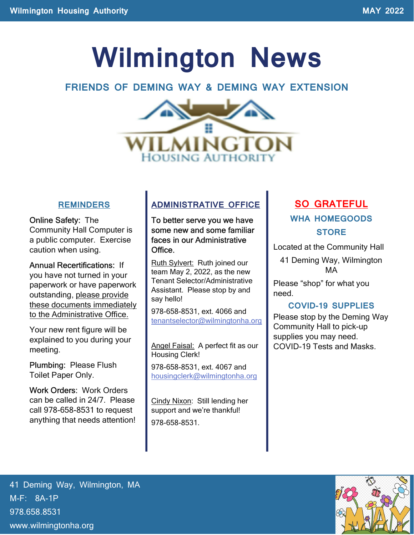# Wilmington News

### FRIENDS OF DEMING WAY & DEMING WAY EXTENSION



### **REMINDERS**

Online Safety: The Community Hall Computer is a public computer. Exercise caution when using.

Annual Recertifications: If you have not turned in your paperwork or have paperwork outstanding, please provide these documents immediately to the Administrative Office.

Your new rent figure will be explained to you during your meeting.

Plumbing: Please Flush Toilet Paper Only.

Work Orders: Work Orders can be called in 24/7. Please call 978-658-8531 to request anything that needs attention!

### ADMINISTRATIVE OFFICE

To better serve you we have some new and some familiar faces in our Administrative Office.

Ruth Sylvert: Ruth joined our team May 2, 2022, as the new Tenant Selector/Administrative Assistant. Please stop by and say hello!

978-658-8531, ext. 4066 and tenantselector@wilmingtonha.org

Angel Faisal: A perfect fit as our Housing Clerk!

978-658-8531, ext. 4067 and housingclerk@wilmingtonha.org

Cindy Nixon: Still lending her support and we're thankful! 978-658-8531.

### SO GRATEFUL WHA HOMEGOODS **STORE**

Located at the Community Hall

41 Deming Way, Wilmington MA

Please "shop" for what you need.

### COVID-19 SUPPLIES

Please stop by the Deming Way Community Hall to pick-up supplies you may need. COVID-19 Tests and Masks.

41 Deming Way, Wilmington, MA M-F: 8A-1P 978.658.8531 www.wilmingtonha.org

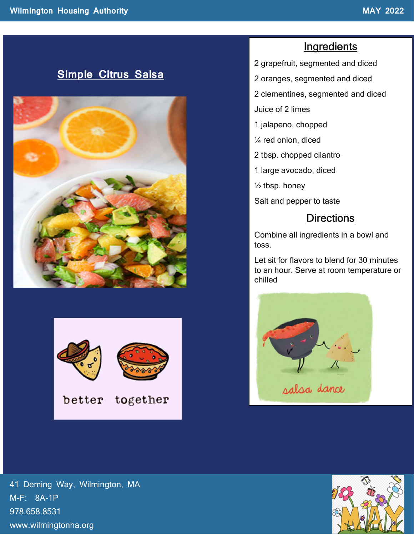### Simple Citrus Salsa





### **Ingredients**

- 2 grapefruit, segmented and diced
- 2 oranges, segmented and diced
- 2 clementines, segmented and diced
- Juice of 2 limes
- 1 jalapeno, chopped
- ¼ red onion, diced
- 2 tbsp. chopped cilantro
- 1 large avocado, diced
- $\frac{1}{2}$  tbsp. honey
- Salt and pepper to taste

### **Directions**

Combine all ingredients in a bowl and toss.

Let sit for flavors to blend for 30 minutes to an hour. Serve at room temperature or chilled



41 Deming Way, Wilmington, MA M-F: 8A-1P 978.658.8531 www.wilmingtonha.org

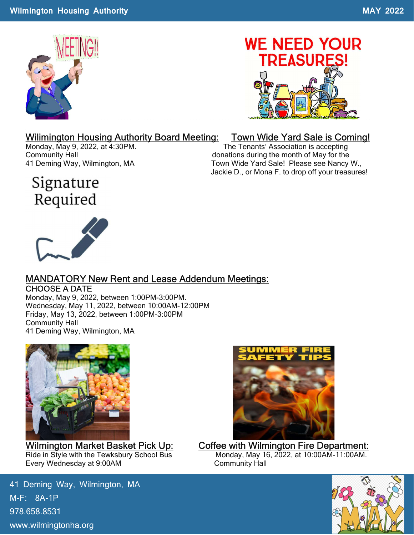

# **WE NEED YOUR TREASURES!**

### Wilimington Housing Authority Board Meeting: Town Wide Yard Sale is Coming!

Monday, May 9, 2022, at 4:30PM. The Tenants' Association is accepting Community Hall donations during the month of May for the 41 Deming Way, Wilmington, MA Town Wide Yard Sale! Please see Nancy W., Jackie D., or Mona F. to drop off your treasures!

### Signature Required



### MANDATORY New Rent and Lease Addendum Meetings: CHOOSE A DATE

Monday, May 9, 2022, between 1:00PM-3:00PM. Wednesday, May 11, 2022, between 10:00AM-12:00PM Friday, May 13, 2022, between 1:00PM-3:00PM Community Hall 41 Deming Way, Wilmington, MA



Ride in Style with the Tewksbury School Bus Every Wednesday at 9:00AM Community Hall

41 Deming Way, Wilmington, MA M-F: 8A-1P 978.658.8531 www.wilmingtonha.org



## Wilmington Market Basket Pick Up: Coffee with Wilmington Fire Department:<br>Ride in Style with the Tewksbury School Bus<br>Monday, May 16, 2022, at 10:00AM-11:00AM.